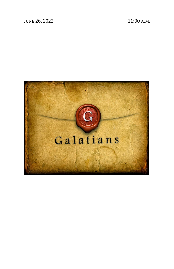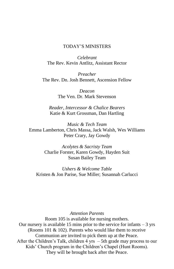#### TODAY'S MINISTERS

*Celebrant* The Rev. Kevin Antlitz, Assistant Rector

*Preacher* The Rev. Dn. Josh Bennett, Ascension Fellow

> *Deacon* The Ven. Dr. Mark Stevenson

*Reader, Intercessor & Chalice Bearers* Katie & Kurt Grossman, Dan Hartling

*Music & Tech Team* Emma Lamberton, Chris Massa, Jack Walsh, Wes Williams Peter Crary, Jay Gowdy

> *Acolytes & Sacristy Team* Charlie Forster, Karen Gowdy, Hayden Suit Susan Bailey Team

*Ushers & Welcome Table* Kristen & Jon Parise, Sue Miller; Susannah Carlucci

#### *Attention Parents*

Room 105 is available for nursing mothers. Our nursery is available 15 mins prior to the service for infants  $-3$  yrs (Rooms 101  $\&$  102). Parents who would like them to receive Communion are invited to pick them up at the Peace. After the Children's Talk, children 4 yrs – 5th grade may process to our Kids' Church program in the Children's Chapel (Hunt Rooms). They will be brought back after the Peace.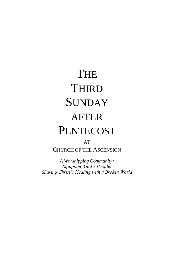# **THE THIRD SUNDAY** AFTER **PENTECOST**

# AT

CHURCH OF THE ASCENSION

*A Worshipping Community; Equipping God's People; Sharing Christ's Healing with a Broken World*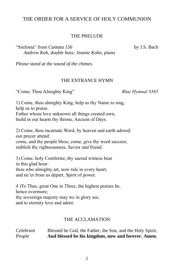# THE ORDER FOR A SERVICE OF HOLY COMMUNION

#### THE PRELUDE

"Sinfonia" from *Cantata 156* by J.S. Bach *Andrew Koh, double bass; Jeanne Kohn, piano*

*Please stand at the sound of the chimes.*

#### THE ENTRANCE HYMN

"Come, Thou Almighty King" *Blue Hymnal #365*

1) Come, thou almighty King, help us thy Name to sing, help us to praise. Father whose love unknown all things created own, build in our hearts thy throne, Ancient of Days.

2) Come, thou incarnate Word, by heaven and earth adored; our prayer attend: come, and thy people bless; come, give thy word success; stablish thy righteousness, Savior and friend.

3) Come, holy Comforter, thy sacred witness bear in this glad hour: thou who almighty art, now rule in every heart, and ne'er from us depart, Spirit of power.

4 )To Thee, great One in Three, the highest praises be, hence evermore; thy sovereign majesty may we in glory see, and to eternity love and adore.

#### THE ACCLAMATION

*Celebrant* Blessed be God, the Father, the Son, and the Holy Spirit. *People* **And blessed be his kingdom, now and forever. Amen.**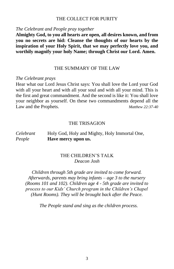#### THE COLLECT FOR PURITY

#### *The Celebrant and People pray together*

**Almighty God, to you all hearts are open, all desires known, and from you no secrets are hid: Cleanse the thoughts of our hearts by the inspiration of your Holy Spirit, that we may perfectly love you, and worthily magnify your holy Name; through Christ our Lord. Amen.**

#### THE SUMMARY OF THE LAW

#### *The Celebrant prays*

Hear what our Lord Jesus Christ says: You shall love the Lord your God with all your heart and with all your soul and with all your mind. This is the first and great commandment. And the second is like it: You shall love your neighbor as yourself. On these two commandments depend all the Law and the Prophets. *Matthew 22:37-40*

#### THE TRISAGION

# *Celebrant* Holy God, Holy and Mighty, Holy Immortal One, *People* **Have mercy upon us.**

#### THE CHILDREN'S TALK *Deacon Josh*

*Children through 5th grade are invited to come forward. Afterwards, parents may bring infants – age 3 to the nursery (Rooms 101 and 102). Children age 4 - 5th grade are invited to process to our Kids' Church program in the Children's Chapel (Hunt Rooms). They will be brought back after the Peace.*

*The People stand and sing as the children process.*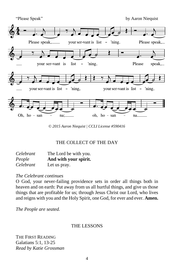

*© 2015 Aaron Niequist | CCLI License #590416*

# THE COLLECT OF THE DAY

| Celebrant | The Lord be with you. |
|-----------|-----------------------|
| People    | And with your spirit. |
| Celebrant | Let us pray.          |

# *The Celebrant continues*

O God, your never-failing providence sets in order all things both in heaven and on earth: Put away from us all hurtful things, and give us those things that are profitable for us; through Jesus Christ our Lord, who lives and reigns with you and the Holy Spirit, one God, for ever and ever. **Amen.**

*The People are seated.*

# THE LESSONS

THE FIRST READING Galatians 5:1, 13-25 *Read by Katie Grossman*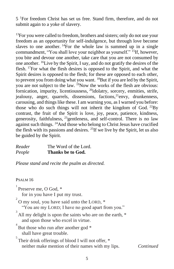5 <sup>1</sup>For freedom Christ has set us free. Stand firm, therefore, and do not submit again to a yoke of slavery.

 $13$ For you were called to freedom, brothers and sisters; only do not use your freedom as an opportunity for self-indulgence, but through love become slaves to one another.  $^{14}$ For the whole law is summed up in a single commandment, "You shall love your neighbor as yourself." <sup>15</sup>If, however, you bite and devour one another, take care that you are not consumed by one another. <sup>16</sup>Live by the Spirit, I say, and do not gratify the desires of the flesh. <sup>17</sup>For what the flesh desires is opposed to the Spirit, and what the Spirit desires is opposed to the flesh; for these are opposed to each other, to prevent you from doing what you want. <sup>18</sup>But if you are led by the Spirit, you are not subject to the law. <sup>19</sup>Now the works of the flesh are obvious: fornication, impurity, licentiousness, <sup>20</sup>idolatry, sorcery, enmities, strife, jealousy, anger, quarrels, dissensions, factions,  $^{21}$ envy, drunkenness, carousing, and things like these. I am warning you, as I warned you before: those who do such things will not inherit the kingdom of God.  $^{22}$ By contrast, the fruit of the Spirit is love, joy, peace, patience, kindness, generosity, faithfulness, <sup>23</sup>gentleness, and self-control. There is no law against such things. <sup>24</sup>And those who belong to Christ Jesus have crucified the flesh with its passions and desires. <sup>25</sup>If we live by the Spirit, let us also be guided by the Spirit.

*Reader* The Word of the Lord. *People* **Thanks be to God.**

*Please stand and recite the psalm as directed.*

# PSALM 16

<sup>1</sup> Preserve me, O God, \*

for in you have I put my trust.

 $2^{2}$ O my soul, you have said unto the LORD,  $*$ 

"You are my LORD; I have no good apart from you."

 $3<sup>3</sup>$  All my delight is upon the saints who are on the earth,  $*$ and upon those who excel in virtue.

 $4$  But those who run after another god  $*$ shall have great trouble.

 $5$  Their drink offerings of blood I will not offer,  $*$ neither make mention of their names with my lips. *Continued*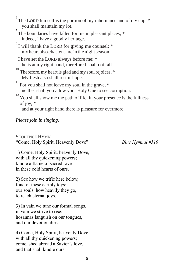$6<sup>6</sup>$ The LORD himself is the portion of my inheritance and of my cup;  $*$ you shall maintain my lot.

The boundaries have fallen for me in pleasant places;  $*$ indeed, I have a goodly heritage.

 $8^8$ I will thank the LORD for giving me counsel;  $*$ my heart also chastens me in the night season.

 $\degree$ I have set the LORD always before me;  $\degree$ he is at my right hand, therefore I shall not fall.

 $10^{10}$  Therefore, my heart is glad and my soul rejoices.  $*$ My flesh also shall rest in hope.

 $^{11}$  For you shall not leave my soul in the grave,  $*$ neither shall you allow your Holy One to see corruption.

 $12$ <sup>12</sup> You shall show me the path of life; in your presence is the fullness of joy, \*

and at your right hand there is pleasure for evermore.

*Please join in singing.*

SEQUENCE HYMN "Come, Holy Spirit, Heavenly Dove" *Blue Hymnal #510*

1) Come, Holy Spirit, heavenly Dove, with all thy quickening powers; kindle a flame of sacred love in these cold hearts of ours.

2) See how we trifle here below, fond of these earthly toys: our souls, how heavily they go, to reach eternal joys.

3) In vain we tune our formal songs, in vain we strive to rise: hosannas languish on our tongues, and our devotion dies.

4) Come, Holy Spirit, heavenly Dove, with all thy quickening powers; come, shed abroad a Savior's love, and that shall kindle ours.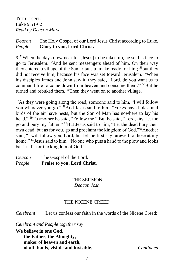THE GOSPEL Luke 9:51-62 *Read by Deacon Mark*

# *Deacon* The Holy Gospel of our Lord Jesus Christ according to Luke. *People* **Glory to you, Lord Christ.**

9 <sup>51</sup>When the days drew near for [Jesus] to be taken up, he set his face to go to Jerusalem. <sup>52</sup>And he sent messengers ahead of him. On their way they entered a village of the Samaritans to make ready for him; <sup>53</sup>but they did not receive him, because his face was set toward Jerusalem. <sup>54</sup>When his disciples James and John saw it, they said, "Lord, do you want us to command fire to come down from heaven and consume them?" <sup>55</sup>But he turned and rebuked them. <sup>56</sup>Then they went on to another village.

<sup>57</sup>As they were going along the road, someone said to him, "I will follow you wherever you go." <sup>58</sup>And Jesus said to him, "Foxes have holes, and birds of the air have nests; but the Son of Man has nowhere to lay his head." <sup>59</sup>To another he said, "Follow me." But he said, "Lord, first let me go and bury my father." <sup>60</sup>But Jesus said to him, "Let the dead bury their own dead; but as for you, go and proclaim the kingdom of God."<sup>61</sup>Another said, "I will follow you, Lord; but let me first say farewell to those at my home." <sup>62</sup> Jesus said to him, "No one who puts a hand to the plow and looks back is fit for the kingdom of God."

| Deacon | The Gospel of the Lord.     |
|--------|-----------------------------|
| People | Praise to you, Lord Christ. |

# THE SERMON *Deacon Josh*

# THE NICENE CREED

*Celebrant* Let us confess our faith in the words of the Nicene Creed:

# *Celebrant and People together say*

**We believe in one God, the Father, the Almighty, maker of heaven and earth, of all that is, visible and invisible.** *Continued*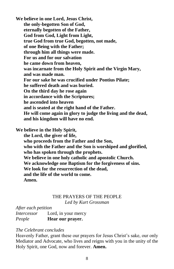**We believe in one Lord, Jesus Christ, the only-begotten Son of God, eternally begotten of the Father, God from God, Light from Light, true God from true God, begotten, not made, of one Being with the Father; through him all things were made. For us and for our salvation he came down from heaven, was incarnate from the Holy Spirit and the Virgin Mary, and was made man. For our sake he was crucified under Pontius Pilate; he suffered death and was buried. On the third day he rose again in accordance with the Scriptures; he ascended into heaven and is seated at the right hand of the Father. He will come again in glory to judge the living and the dead, and his kingdom will have no end.** 

**We believe in the Holy Spirit,** 

**the Lord, the giver of life,** 

**who proceeds from the Father and the Son,**

**who with the Father and the Son is worshiped and glorified, who has spoken through the prophets.** 

**We believe in one holy catholic and apostolic Church.** 

**We acknowledge one Baptism for the forgiveness of sins.** 

**We look for the resurrection of the dead,** 

**and the life of the world to come.** 

**Amen.**

# THE PRAYERS OF THE PEOPLE *Led by Kurt Grossman*

*After each petition*

| Intercessor | Lord, in your mercy |
|-------------|---------------------|
| People      | Hear our prayer.    |

#### *The Celebrant concludes*

Heavenly Father, grant these our prayers for Jesus Christ's sake, our only Mediator and Advocate, who lives and reigns with you in the unity of the Holy Spirit, one God, now and forever. **Amen.**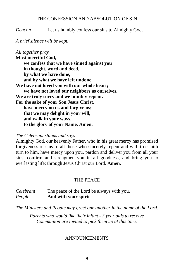#### THE CONFESSION AND ABSOLUTION OF SIN

*Deacon* Let us humbly confess our sins to Almighty God.

#### *A brief silence will be kept.*

*All together pray*  **Most merciful God, we confess that we have sinned against you in thought, word and deed, by what we have done, and by what we have left undone. We have not loved you with our whole heart; we have not loved our neighbors as ourselves. We are truly sorry and we humbly repent. For the sake of your Son Jesus Christ, have mercy on us and forgive us; that we may delight in your will, and walk in your ways, to the glory of your Name. Amen.**

#### *The Celebrant stands and says*

Almighty God, our heavenly Father, who in his great mercy has promised forgiveness of sins to all those who sincerely repent and with true faith turn to him, have mercy upon you, pardon and deliver you from all your sins, confirm and strengthen you in all goodness, and bring you to everlasting life; through Jesus Christ our Lord. **Amen.** 

#### THE PEACE

| Celebrant | The peace of the Lord be always with you. |
|-----------|-------------------------------------------|
| People    | And with your spirit.                     |

*The Ministers and People may greet one another in the name of the Lord.*

*Parents who would like their infant - 3 year olds to receive Communion are invited to pick them up at this time.*

#### **ANNOUNCEMENTS**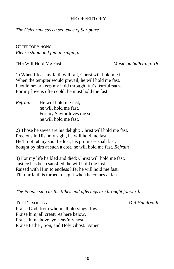#### THE OFFERTORY

*The Celebrant says a sentence of Scripture.*

OFFERTORY SONG *Please stand and join in singing.*

"He Will Hold Me Fast" *Music on bulletin p. 18*

1) When I fear my faith will fail, Christ will hold me fast. When the tempter would prevail, he will hold me fast. I could never keep my hold through life's fearful path. For my love is often cold; he must hold me fast.

*Refrain* He will hold me fast, he will hold me fast. For my Savior loves me so, he will hold me fast.

2) Those he saves are his delight; Christ will hold me fast. Precious in His holy sight, he will hold me fast. He'll not let my soul be lost, his promises shall last; bought by him at such a cost, he will hold me fast. *Refrain*

3) For my life he bled and died; Christ will hold me fast. Justice has been satisfied; he will hold me fast. Raised with Him to endless life; he will hold me fast. Till our faith is turned to sight when he comes at last.

*The People sing as the tithes and offerings are brought forward.*

THE DOXOLOGY *Old Hundredth* Praise God, from whom all blessings flow. Praise him, all creatures here below. Praise him above, ye heav'nly host. Praise Father, Son, and Holy Ghost. Amen.

10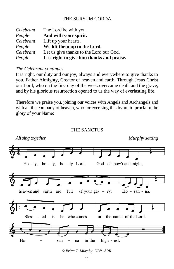# THE SURSUM CORDA

| Celebrant | The Lord be with you.                      |
|-----------|--------------------------------------------|
| People    | And with your spirit.                      |
| Celebrant | Lift up your hearts.                       |
| People    | We lift them up to the Lord.               |
| Celebrant | Let us give thanks to the Lord our God.    |
| People    | It is right to give him thanks and praise. |

#### *The Celebrant continues*

It is right, our duty and our joy, always and everywhere to give thanks to you, Father Almighty, Creator of heaven and earth. Through Jesus Christ our Lord; who on the first day of the week overcame death and the grave, and by his glorious resurrection opened to us the way of everlasting life.

Therefore we praise you, joining our voices with Angels and Archangels and with all the company of heaven, who for ever sing this hymn to proclaim the glory of your Name:



#### THE SANCTUS

*<sup>©</sup> Brian T. Murphy. UBP. ARR.*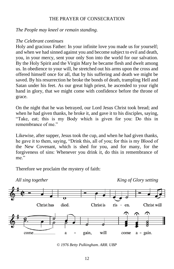# THE PRAYER OF CONSECRATION

*The People may kneel or remain standing.*

#### *The Celebrant continues*

Holy and gracious Father: In your infinite love you made us for yourself; and when we had sinned against you and become subject to evil and death, you, in your mercy, sent your only Son into the world for our salvation. By the Holy Spirit and the Virgin Mary he became flesh and dwelt among us. In obedience to your will, he stretched out his arms upon the cross and offered himself once for all, that by his suffering and death we might be saved. By his resurrection he broke the bonds of death, trampling Hell and Satan under his feet. As our great high priest, he ascended to your right hand in glory, that we might come with confidence before the throne of grace.

On the night that he was betrayed, our Lord Jesus Christ took bread; and when he had given thanks, he broke it, and gave it to his disciples, saying, "Take, eat; this is my Body which is given for you: Do this in remembrance of me."

Likewise, after supper, Jesus took the cup, and when he had given thanks, he gave it to them, saying, "Drink this, all of you; for this is my Blood of the New Covenant, which is shed for you, and for many, for the forgiveness of sins: Whenever you drink it, do this in remembrance of me."

Therefore we proclaim the mystery of faith:



*© 1976 Betty Pulkingham. ARR. UBP*

12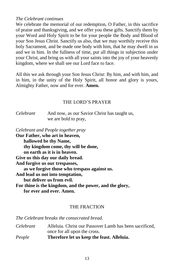#### *The Celebrant continues*

We celebrate the memorial of our redemption, O Father, in this sacrifice of praise and thanksgiving, and we offer you these gifts. Sanctify them by your Word and Holy Spirit to be for your people the Body and Blood of your Son Jesus Christ. Sanctify us also, that we may worthily receive this holy Sacrament, and be made one body with him, that he may dwell in us and we in him. In the fullness of time, put all things in subjection under your Christ, and bring us with all your saints into the joy of your heavenly kingdom, where we shall see our Lord face to face.

All this we ask through your Son Jesus Christ: By him, and with him, and in him, in the unity of the Holy Spirit, all honor and glory is yours, Almighty Father, now and for ever. **Amen.**

#### THE LORD'S PRAYER

*Celebrant* And now, as our Savior Christ has taught us, we are bold to pray,

*Celebrant and People together pray* **Our Father, who art in heaven, hallowed be thy Name, thy kingdom come, thy will be done, on earth as it is in heaven. Give us this day our daily bread. And forgive us our trespasses, as we forgive those who trespass against us. And lead us not into temptation, but deliver us from evil. For thine is the kingdom, and the power, and the glory, for ever and ever. Amen.**

# THE FRACTION

*The Celebrant breaks the consecrated bread.*

*Celebrant* Alleluia. Christ our Passover Lamb has been sacrificed, once for all upon the cross. *People* **Therefore let us keep the feast. Alleluia.**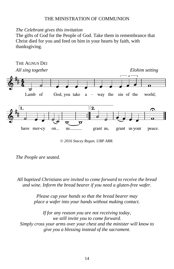# THE MINISTRATION OF COMMUNION

#### *The Celebrant gives this invitation*

The gifts of God for the People of God. Take them in remembrance that Christ died for you and feed on him in your hearts by faith, with thanksgiving.



*© 2016 Stacey Regan. UBP ARR.*

*All baptized Christians are invited to come forward to receive the bread and wine. Inform the bread bearer if you need a gluten-free wafer.*

> *Please cup your hands so that the bread bearer may place a wafer into your hands without making contact.*

*If for any reason you are not receiving today, we still invite you to come forward. Simply cross your arms over your chest and the minister will know to give you a blessing instead of the sacrament.*

*The People are seated.*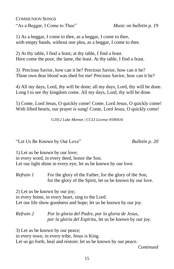COMMUNION SONGS "As a Beggar, I Come to Thee" *Music on bulletin p. 19*

1) As a beggar, I come to thee, as a beggar, I come to thee, with empty hands, without one plea, as a beggar, I come to thee.

2) At thy table, I find a feast; at thy table, I find a feast. Here come the poor, the lame, the least. At thy table, I find a feast.

3) Precious Savior, how can it be? Precious Savior, how can it be? Thine own dear blood was shed for me! Precious Savior, how can it be?

4) All my days, Lord, thy will be done; all my days, Lord, thy will be done. Long I to see thy kingdom come. All my days, Lord, thy will be done.

5) Come, Lord Jesus, O quickly come! Come, Lord Jesus, O quickly come! With lifted hearts, our prayer is sung! Come, Lord Jesus, O quickly come!

©*2012 Luke Morton | CCLI License #590416*

"Let Us Be Known by Our Love" *Bulletin p. 20*

1) Let us be known by our love; in every word, in every deed, honor the Son. Let our light shine in every eye; let us be known by our love.

*Refrain 1* For the glory of the Father, for the glory of the Son, for the glory of the Spirit, let us be known by our love.

2) Let us be known by our joy; in every home, in every heart, sing to the Lord. Let our life show goodness and hope; let us be known by our joy.

*Refrain 2 Por la gloria del Padre, por la gloria de Jesus, por la gloria del Espíritu,* let us be known by our joy.

3) Let us be known by our peace; in every town, in every tribe, Jesus is King.

Let us go forth, heal and restore; let us be known by our peace.

*Continued*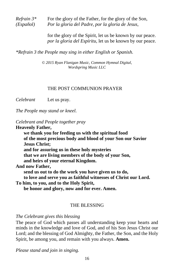*Refrain*  $3^*$  For the glory of the Father, for the glory of the Son, *(Español) Por la gloria del Padre, por la gloria de Jesus,*

> for the glory of the Spirit, let us be known by our peace. *por la gloria del Espíritu,* let us be known by our peace.

*\*Refrain 3 the People may sing in either English or Spanish.*

*© 2015 Ryan Flanigan Music, Common Hymnal Digital, Wordspring Music LLC*

#### THE POST COMMUNION PRAYER

*Celebrant* Let us pray.

*The People may stand or kneel.*

*Celebrant and People together pray*

**Heavenly Father,** 

**we thank you for feeding us with the spiritual food of the most precious body and blood of your Son our Savior Jesus Christ; and for assuring us in these holy mysteries that we are living members of the body of your Son, and heirs of your eternal Kingdom. And now Father,** 

**send us out to do the work you have given us to do, to love and serve you as faithful witnesses of Christ our Lord.**

**To him, to you, and to the Holy Spirit,** 

**be honor and glory, now and for ever. Amen.** 

#### THE BLESSING

*The Celebrant gives this blessing*

The peace of God which passes all understanding keep your hearts and minds in the knowledge and love of God, and of his Son Jesus Christ our Lord; and the blessing of God Almighty, the Father, the Son, and the Holy Spirit, be among you, and remain with you always. **Amen.**

*Please stand and join in singing.*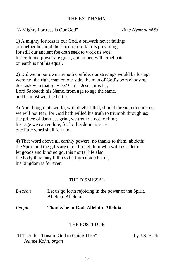# THE EXIT HYMN

"A Mighty Fortress is Our God" *Blue Hymnal #688*

1) A mighty fortress is our God, a bulwark never failing; our helper he amid the flood of mortal ills prevailing: for still our ancient foe doth seek to work us woe; his craft and power are great, and armed with cruel hate, on earth is not his equal.

2) Did we in our own strength confide, our strivings would be losing; were not the right man on our side, the man of God's own choosing: dost ask who that may be? Christ Jesus, it is he; Lord Sabbaoth his Name, from age to age the same, and he must win the battle.

3) And though this world, with devils filled, should threaten to undo us; we will not fear, for God hath willed his truth to triumph through us; the prince of darkness grim, we tremble not for him; his rage we can endure, for lo! his doom is sure, one little word shall fell him.

4) That word above all earthly powers, no thanks to them, abideth; the Spirit and the gifts are ours through him who with us sideth: let goods and kindred go, this mortal life also; the body they may kill: God's truth abideth still, his kingdom is for ever.

# THE DISMISSAL

| Deacon | Let us go forth rejoicing in the power of the Spirit.<br>Alleluia. Alleluia. |
|--------|------------------------------------------------------------------------------|
| People | Thanks be to God. Alleluia. Alleluia.                                        |
|        | <b>THE POSTLUDE</b>                                                          |

"If Thou but Trust in God to Guide Thee" by J.S. Bach *Jeanne Kohn, organ*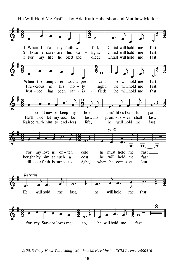"He Will Hold Me Fast" by Ada Ruth Habershon and Matthew Merker

1. When I fear my faith will fail. Christ will hold me fast. fast. 2. Those he saves are his de  $\sim$ light; Christ will hold me he bled and  $3. For$ my life died; Christ will hold me fast. he will hold me fast. When the tempt  $-er$  would pre vail.  $\overline{\phantom{a}}$  $Pre - cious$ in his sight, he will hold me fast.  $ho - ly$ Just -  $ice$ has been  $sat - is$ fied: he will hold me fast. could nev-er keep my hold thru' life's fear - ful path; I He'll not let my soul be lost: his  $prom - is - es shall$ last: Raised with him to end-less he will hold me fast life.  $(v, 3)$  $\overline{\mathbf{u}}$ for my love is of - ten cold: he must hold me fast. bought by him at such a cost. he will hold me fast. till our faith is turned to sight, when he comes at last! Refrain He will hold will hold fast. me fast: me he 3 for my Sav-ior loves me he will hold me so, fast.

*<sup>© 2013</sup> Getty Music Publishing | Matthew Merker Music | CCLI License #590416*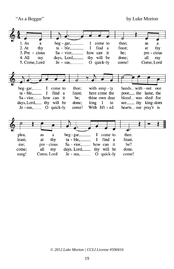"As a Beggar" by Luke Morton

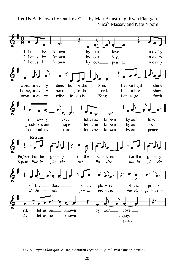

*© 2015 Ryan Flanigan Music, Common Hymnal Digital, Wordspring Music LLC*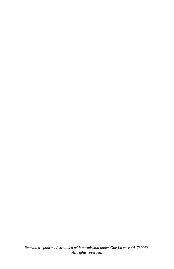*Reprinted / podcast / streamed with permission under One License #A-739963. All rights reserved.*